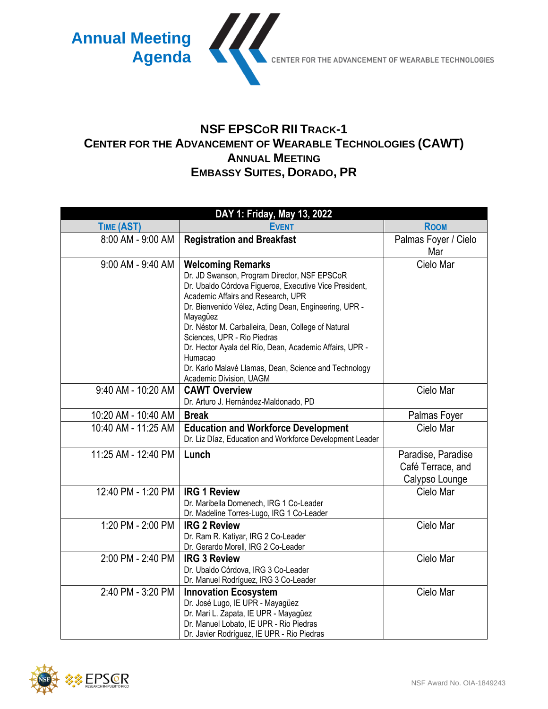

## **NSF EPSCOR RII TRACK-1 CENTER FOR THE ADVANCEMENT OF WEARABLE TECHNOLOGIES (CAWT) ANNUAL MEETING EMBASSY SUITES, DORADO, PR**

| DAY 1: Friday, May 13, 2022 |                                                                                             |                      |  |
|-----------------------------|---------------------------------------------------------------------------------------------|----------------------|--|
| TIME (AST)                  | <b>EVENT</b>                                                                                | <b>ROOM</b>          |  |
| 8:00 AM - 9:00 AM           | <b>Registration and Breakfast</b>                                                           | Palmas Foyer / Cielo |  |
|                             |                                                                                             | Mar                  |  |
| 9:00 AM - 9:40 AM           | <b>Welcoming Remarks</b>                                                                    | Cielo Mar            |  |
|                             | Dr. JD Swanson, Program Director, NSF EPSCoR                                                |                      |  |
|                             | Dr. Ubaldo Córdova Figueroa, Executive Vice President,                                      |                      |  |
|                             | Academic Affairs and Research, UPR<br>Dr. Bienvenido Vélez, Acting Dean, Engineering, UPR - |                      |  |
|                             | Mayagüez                                                                                    |                      |  |
|                             | Dr. Néstor M. Carballeira, Dean, College of Natural                                         |                      |  |
|                             | Sciences, UPR - Rio Piedras                                                                 |                      |  |
|                             | Dr. Hector Ayala del Río, Dean, Academic Affairs, UPR -                                     |                      |  |
|                             | Humacao<br>Dr. Karlo Malavé Llamas, Dean, Science and Technology                            |                      |  |
|                             | Academic Division, UAGM                                                                     |                      |  |
| 9:40 AM - 10:20 AM          | <b>CAWT Overview</b>                                                                        | Cielo Mar            |  |
|                             | Dr. Arturo J. Hernández-Maldonado, PD                                                       |                      |  |
| 10:20 AM - 10:40 AM         | <b>Break</b>                                                                                | Palmas Foyer         |  |
| 10:40 AM - 11:25 AM         | <b>Education and Workforce Development</b>                                                  | Cielo Mar            |  |
|                             | Dr. Liz Díaz, Education and Workforce Development Leader                                    |                      |  |
| 11:25 AM - 12:40 PM         | Lunch                                                                                       | Paradise, Paradise   |  |
|                             |                                                                                             | Café Terrace, and    |  |
|                             |                                                                                             | Calypso Lounge       |  |
| 12:40 PM - 1:20 PM          | <b>IRG 1 Review</b>                                                                         | Cielo Mar            |  |
|                             | Dr. Maribella Domenech, IRG 1 Co-Leader                                                     |                      |  |
|                             | Dr. Madeline Torres-Lugo, IRG 1 Co-Leader                                                   |                      |  |
| 1:20 PM - 2:00 PM           | <b>IRG 2 Review</b>                                                                         | Cielo Mar            |  |
|                             | Dr. Ram R. Katiyar, IRG 2 Co-Leader<br>Dr. Gerardo Morell, IRG 2 Co-Leader                  |                      |  |
| 2:00 PM - 2:40 PM           | <b>IRG 3 Review</b>                                                                         | Cielo Mar            |  |
|                             | Dr. Ubaldo Córdova, IRG 3 Co-Leader                                                         |                      |  |
|                             | Dr. Manuel Rodríguez, IRG 3 Co-Leader                                                       |                      |  |
| 2:40 PM - 3:20 PM           | <b>Innovation Ecosystem</b>                                                                 | Cielo Mar            |  |
|                             | Dr. José Lugo, IE UPR - Mayagüez                                                            |                      |  |
|                             | Dr. Mari L. Zapata, IE UPR - Mayagüez                                                       |                      |  |
|                             | Dr. Manuel Lobato, IE UPR - Rio Piedras                                                     |                      |  |
|                             | Dr. Javier Rodríguez, IE UPR - Rio Piedras                                                  |                      |  |